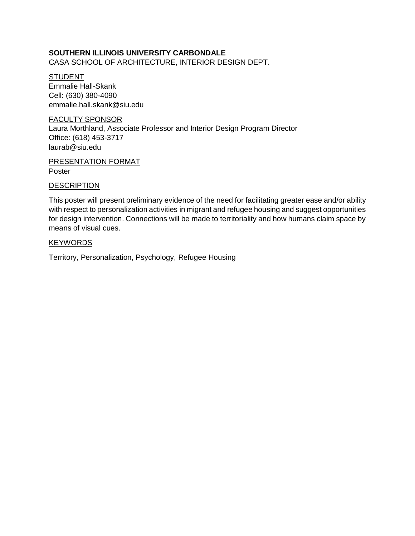# **SOUTHERN ILLINOIS UNIVERSITY CARBONDALE**

CASA SCHOOL OF ARCHITECTURE, INTERIOR DESIGN DEPT.

**STUDENT** Emmalie Hall-Skank Cell: (630) 380-4090 emmalie.hall.skank@siu.edu

### FACULTY SPONSOR

Laura Morthland, Associate Professor and Interior Design Program Director Office: (618) 453-3717 laurab@siu.edu

## PRESENTATION FORMAT Poster

#### **DESCRIPTION**

This poster will present preliminary evidence of the need for facilitating greater ease and/or ability with respect to personalization activities in migrant and refugee housing and suggest opportunities for design intervention. Connections will be made to territoriality and how humans claim space by means of visual cues.

#### **KEYWORDS**

Territory, Personalization, Psychology, Refugee Housing